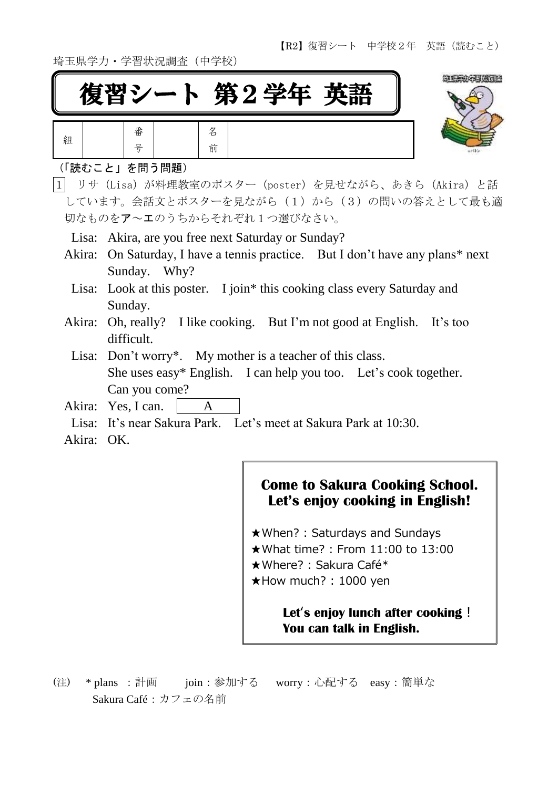埼玉県学力・学習状況調査(中学校)



| 組 | 番 | タ<br>Ь |
|---|---|--------|
|   | 号 | 前      |

#### (「読むこと」を問う問題)

ī

1 リサ(Lisa)が料理教室のポスター(poster)を見せながら、あきら(Akira)と話 しています。会話文とポスターを見ながら(1)から(3)の問いの答えとして最も適 切なものをア~エのうちからそれぞれ1つ選びなさい。

Lisa: Akira, are you free next Saturday or Sunday?

- Akira: On Saturday, I have a tennis practice. But I don't have any plans\* next Sunday. Why?
- Lisa: Look at this poster. I join\* this cooking class every Saturday and Sunday.
- Akira: Oh, really? I like cooking. But I'm not good at English. It's too difficult.
- Lisa: Don't worry\*. My mother is a teacher of this class. She uses easy\* English. I can help you too. Let's cook together. Can you come?
- Akira: Yes, I can. | A
- Lisa: It's near Sakura Park. Let's meet at Sakura Park at 10:30.
- Akira: OK.

## **Come to Sakura Cooking School. Let's enjoy cooking in English!**

★When? : Saturdays and Sundays ★What time? : From 11:00 to 13:00 ★Where? : Sakura Café\* ★How much? : 1000 yen

## **Let**'**s enjoy lunch after cooking**! **You can talk in English.**

(注) \* plans :計画 join:参加する worry:心配する easy:簡単な Sakura Café:カフェの名前